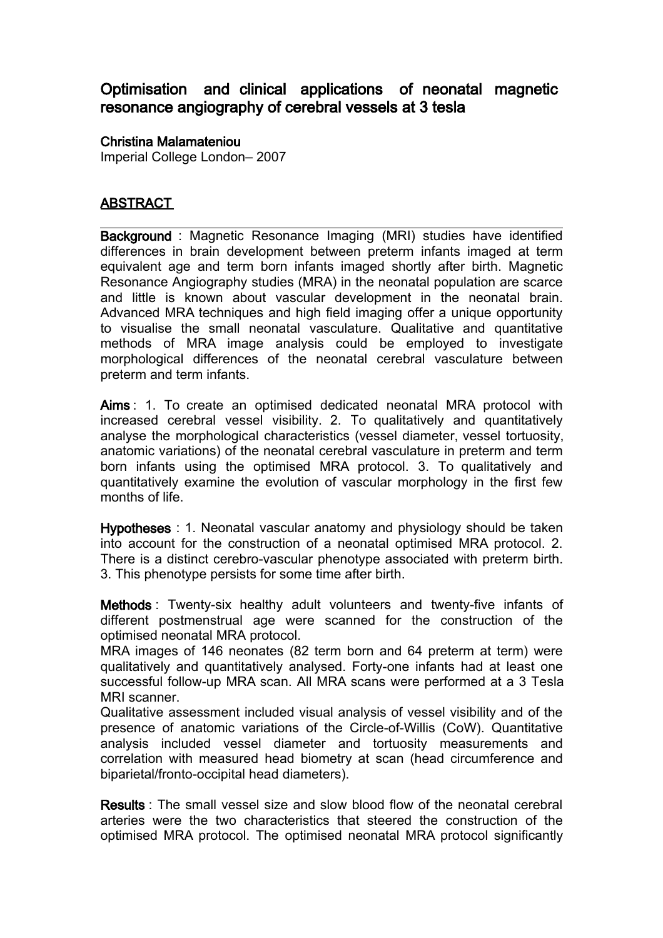## Optimisation and clinical applications of neonatal magnetic resonance angiography of cerebral vessels at 3 tesla

## Christina Malamateniou

Imperial College London– 2007

## **ABSTRACT**

Background : Magnetic Resonance Imaging (MRI) studies have identified differences in brain development between preterm infants imaged at term equivalent age and term born infants imaged shortly after birth. Magnetic Resonance Angiography studies (MRA) in the neonatal population are scarce and little is known about vascular development in the neonatal brain. Advanced MRA techniques and high field imaging offer a unique opportunity to visualise the small neonatal vasculature. Qualitative and quantitative methods of MRA image analysis could be employed to investigate morphological differences of the neonatal cerebral vasculature between preterm and term infants.

Aims : 1. To create an optimised dedicated neonatal MRA protocol with increased cerebral vessel visibility. 2. To qualitatively and quantitatively analyse the morphological characteristics (vessel diameter, vessel tortuosity, anatomic variations) of the neonatal cerebral vasculature in preterm and term born infants using the optimised MRA protocol. 3. To qualitatively and quantitatively examine the evolution of vascular morphology in the first few months of life.

Hypotheses : 1. Neonatal vascular anatomy and physiology should be taken into account for the construction of a neonatal optimised MRA protocol. 2. There is a distinct cerebro-vascular phenotype associated with preterm birth. 3. This phenotype persists for some time after birth.

Methods : Twenty-six healthy adult volunteers and twenty-five infants of different postmenstrual age were scanned for the construction of the optimised neonatal MRA protocol.

MRA images of 146 neonates (82 term born and 64 preterm at term) were qualitatively and quantitatively analysed. Forty-one infants had at least one successful follow-up MRA scan. All MRA scans were performed at a 3 Tesla MRI scanner.

Qualitative assessment included visual analysis of vessel visibility and of the presence of anatomic variations of the Circle-of-Willis (CoW). Quantitative analysis included vessel diameter and tortuosity measurements and correlation with measured head biometry at scan (head circumference and biparietal/fronto-occipital head diameters).

Results : The small vessel size and slow blood flow of the neonatal cerebral arteries were the two characteristics that steered the construction of the optimised MRA protocol. The optimised neonatal MRA protocol significantly